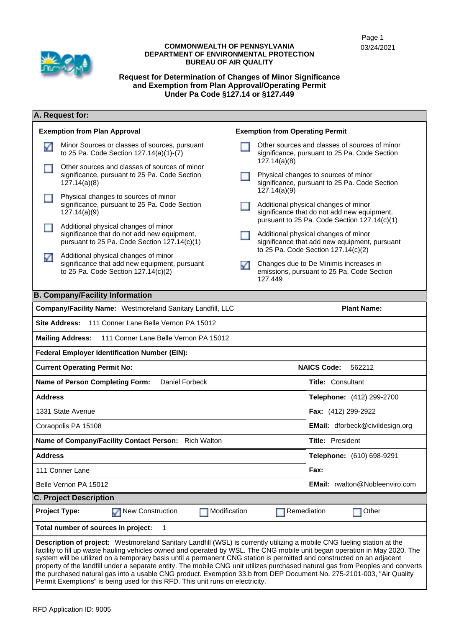

| A. Request for:                                                                                                                                                                                                                                                                                                                                                                                                                                                                                                                                                                                                                                                                                                            |                                                                                                                                     |                                        |                                                                                                                                                                                                                                 |  |  |  |  |  |  |  |
|----------------------------------------------------------------------------------------------------------------------------------------------------------------------------------------------------------------------------------------------------------------------------------------------------------------------------------------------------------------------------------------------------------------------------------------------------------------------------------------------------------------------------------------------------------------------------------------------------------------------------------------------------------------------------------------------------------------------------|-------------------------------------------------------------------------------------------------------------------------------------|----------------------------------------|---------------------------------------------------------------------------------------------------------------------------------------------------------------------------------------------------------------------------------|--|--|--|--|--|--|--|
|                                                                                                                                                                                                                                                                                                                                                                                                                                                                                                                                                                                                                                                                                                                            | <b>Exemption from Plan Approval</b>                                                                                                 | <b>Exemption from Operating Permit</b> |                                                                                                                                                                                                                                 |  |  |  |  |  |  |  |
| М                                                                                                                                                                                                                                                                                                                                                                                                                                                                                                                                                                                                                                                                                                                          | Minor Sources or classes of sources, pursuant<br>to 25 Pa. Code Section 127.14(a)(1)-(7)                                            |                                        | Other sources and classes of sources of minor<br>significance, pursuant to 25 Pa. Code Section                                                                                                                                  |  |  |  |  |  |  |  |
|                                                                                                                                                                                                                                                                                                                                                                                                                                                                                                                                                                                                                                                                                                                            | Other sources and classes of sources of minor<br>significance, pursuant to 25 Pa. Code Section<br>127.14(a)(8)                      |                                        | 127.14(a)(8)<br>Physical changes to sources of minor<br>significance, pursuant to 25 Pa. Code Section<br>127.14(a)(9)                                                                                                           |  |  |  |  |  |  |  |
|                                                                                                                                                                                                                                                                                                                                                                                                                                                                                                                                                                                                                                                                                                                            | Physical changes to sources of minor<br>significance, pursuant to 25 Pa. Code Section<br>127.14(a)(9)                               |                                        | Additional physical changes of minor<br>significance that do not add new equipment,<br>pursuant to 25 Pa. Code Section 127.14(c)(1)                                                                                             |  |  |  |  |  |  |  |
|                                                                                                                                                                                                                                                                                                                                                                                                                                                                                                                                                                                                                                                                                                                            | Additional physical changes of minor<br>significance that do not add new equipment,<br>pursuant to 25 Pa. Code Section 127.14(c)(1) |                                        | Additional physical changes of minor<br>significance that add new equipment, pursuant<br>to 25 Pa. Code Section 127.14(c)(2)<br>Changes due to De Minimis increases in<br>emissions, pursuant to 25 Pa. Code Section<br>127.449 |  |  |  |  |  |  |  |
| М                                                                                                                                                                                                                                                                                                                                                                                                                                                                                                                                                                                                                                                                                                                          | Additional physical changes of minor<br>significance that add new equipment, pursuant<br>to 25 Pa. Code Section 127.14(c)(2)        |                                        |                                                                                                                                                                                                                                 |  |  |  |  |  |  |  |
|                                                                                                                                                                                                                                                                                                                                                                                                                                                                                                                                                                                                                                                                                                                            | <b>B. Company/Facility Information</b>                                                                                              |                                        |                                                                                                                                                                                                                                 |  |  |  |  |  |  |  |
|                                                                                                                                                                                                                                                                                                                                                                                                                                                                                                                                                                                                                                                                                                                            | Company/Facility Name: Westmoreland Sanitary Landfill, LLC                                                                          |                                        | <b>Plant Name:</b>                                                                                                                                                                                                              |  |  |  |  |  |  |  |
|                                                                                                                                                                                                                                                                                                                                                                                                                                                                                                                                                                                                                                                                                                                            | Site Address: 111 Conner Lane Belle Vernon PA 15012                                                                                 |                                        |                                                                                                                                                                                                                                 |  |  |  |  |  |  |  |
|                                                                                                                                                                                                                                                                                                                                                                                                                                                                                                                                                                                                                                                                                                                            | 111 Conner Lane Belle Vernon PA 15012<br><b>Mailing Address:</b>                                                                    |                                        |                                                                                                                                                                                                                                 |  |  |  |  |  |  |  |
|                                                                                                                                                                                                                                                                                                                                                                                                                                                                                                                                                                                                                                                                                                                            | <b>Federal Employer Identification Number (EIN):</b>                                                                                |                                        |                                                                                                                                                                                                                                 |  |  |  |  |  |  |  |
|                                                                                                                                                                                                                                                                                                                                                                                                                                                                                                                                                                                                                                                                                                                            | <b>Current Operating Permit No:</b>                                                                                                 |                                        | <b>NAICS Code:</b><br>562212                                                                                                                                                                                                    |  |  |  |  |  |  |  |
|                                                                                                                                                                                                                                                                                                                                                                                                                                                                                                                                                                                                                                                                                                                            | <b>Name of Person Completing Form:</b><br>Daniel Forbeck                                                                            |                                        | Title: Consultant                                                                                                                                                                                                               |  |  |  |  |  |  |  |
| <b>Address</b>                                                                                                                                                                                                                                                                                                                                                                                                                                                                                                                                                                                                                                                                                                             |                                                                                                                                     |                                        | Telephone: (412) 299-2700                                                                                                                                                                                                       |  |  |  |  |  |  |  |
|                                                                                                                                                                                                                                                                                                                                                                                                                                                                                                                                                                                                                                                                                                                            | 1331 State Avenue                                                                                                                   | Fax: (412) 299-2922                    |                                                                                                                                                                                                                                 |  |  |  |  |  |  |  |
|                                                                                                                                                                                                                                                                                                                                                                                                                                                                                                                                                                                                                                                                                                                            | Coraopolis PA 15108                                                                                                                 | <b>EMail:</b> dforbeck@civildesign.org |                                                                                                                                                                                                                                 |  |  |  |  |  |  |  |
|                                                                                                                                                                                                                                                                                                                                                                                                                                                                                                                                                                                                                                                                                                                            | Name of Company/Facility Contact Person: Rich Walton                                                                                | <b>Title: President</b>                |                                                                                                                                                                                                                                 |  |  |  |  |  |  |  |
| <b>Address</b>                                                                                                                                                                                                                                                                                                                                                                                                                                                                                                                                                                                                                                                                                                             |                                                                                                                                     | Telephone: (610) 698-9291              |                                                                                                                                                                                                                                 |  |  |  |  |  |  |  |
|                                                                                                                                                                                                                                                                                                                                                                                                                                                                                                                                                                                                                                                                                                                            | 111 Conner Lane                                                                                                                     | Fax:                                   |                                                                                                                                                                                                                                 |  |  |  |  |  |  |  |
|                                                                                                                                                                                                                                                                                                                                                                                                                                                                                                                                                                                                                                                                                                                            | Belle Vernon PA 15012                                                                                                               | <b>EMail:</b> rwalton@Nobleenviro.com  |                                                                                                                                                                                                                                 |  |  |  |  |  |  |  |
| <b>C. Project Description</b>                                                                                                                                                                                                                                                                                                                                                                                                                                                                                                                                                                                                                                                                                              |                                                                                                                                     |                                        |                                                                                                                                                                                                                                 |  |  |  |  |  |  |  |
|                                                                                                                                                                                                                                                                                                                                                                                                                                                                                                                                                                                                                                                                                                                            | <b>Project Type:</b><br>New Construction                                                                                            | Modification                           | Remediation<br>Other                                                                                                                                                                                                            |  |  |  |  |  |  |  |
| Total number of sources in project:<br>1                                                                                                                                                                                                                                                                                                                                                                                                                                                                                                                                                                                                                                                                                   |                                                                                                                                     |                                        |                                                                                                                                                                                                                                 |  |  |  |  |  |  |  |
| Description of project: Westmoreland Sanitary Landfill (WSL) is currently utilizing a mobile CNG fueling station at the<br>facility to fill up waste hauling vehicles owned and operated by WSL. The CNG mobile unit began operation in May 2020. The<br>system will be utilized on a temporary basis until a permanent CNG station is permitted and constructed on an adjacent<br>property of the landfill under a separate entity. The mobile CNG unit utilizes purchased natural gas from Peoples and converts<br>the purchased natural gas into a usable CNG product. Exemption 33.b from DEP Document No. 275-2101-003, "Air Quality<br>Permit Exemptions" is being used for this RFD. This unit runs on electricity. |                                                                                                                                     |                                        |                                                                                                                                                                                                                                 |  |  |  |  |  |  |  |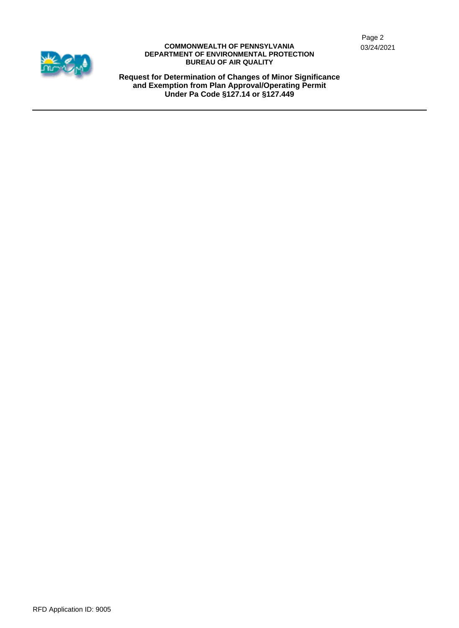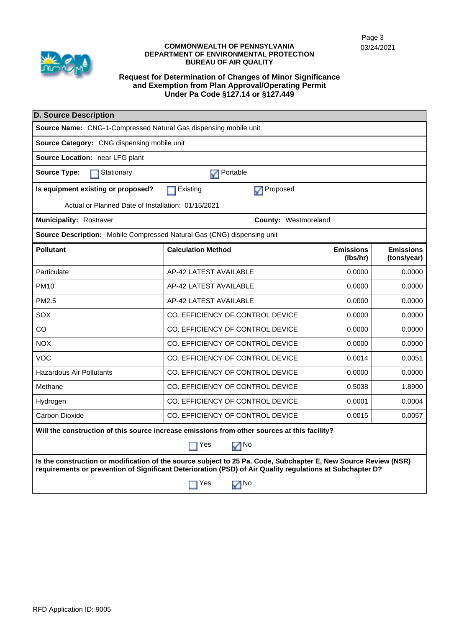

| <b>D. Source Description</b>                                                                                                                                                                                                                  |                                  |                              |                                 |  |  |  |  |  |  |
|-----------------------------------------------------------------------------------------------------------------------------------------------------------------------------------------------------------------------------------------------|----------------------------------|------------------------------|---------------------------------|--|--|--|--|--|--|
| Source Name: CNG-1-Compressed Natural Gas dispensing mobile unit                                                                                                                                                                              |                                  |                              |                                 |  |  |  |  |  |  |
| Source Category: CNG dispensing mobile unit                                                                                                                                                                                                   |                                  |                              |                                 |  |  |  |  |  |  |
| Source Location: near LFG plant                                                                                                                                                                                                               |                                  |                              |                                 |  |  |  |  |  |  |
| <b>Source Type:</b><br>Portable<br>Stationary                                                                                                                                                                                                 |                                  |                              |                                 |  |  |  |  |  |  |
| Is equipment existing or proposed?<br>Existing<br>Proposed                                                                                                                                                                                    |                                  |                              |                                 |  |  |  |  |  |  |
| Actual or Planned Date of Installation: 01/15/2021                                                                                                                                                                                            |                                  |                              |                                 |  |  |  |  |  |  |
| Municipality: Rostraver                                                                                                                                                                                                                       | <b>County: Westmoreland</b>      |                              |                                 |  |  |  |  |  |  |
| Source Description: Mobile Compressed Natural Gas (CNG) dispensing unit                                                                                                                                                                       |                                  |                              |                                 |  |  |  |  |  |  |
| <b>Pollutant</b>                                                                                                                                                                                                                              | <b>Calculation Method</b>        | <b>Emissions</b><br>(lbs/hr) | <b>Emissions</b><br>(tons/year) |  |  |  |  |  |  |
| Particulate                                                                                                                                                                                                                                   | AP-42 LATEST AVAILABLE           | 0.0000                       | 0.0000                          |  |  |  |  |  |  |
| <b>PM10</b>                                                                                                                                                                                                                                   | AP-42 LATEST AVAILABLE           | 0.0000                       | 0.0000                          |  |  |  |  |  |  |
| PM2.5                                                                                                                                                                                                                                         | AP-42 LATEST AVAILABLE           | 0.0000                       | 0.0000                          |  |  |  |  |  |  |
| <b>SOX</b>                                                                                                                                                                                                                                    | CO. EFFICIENCY OF CONTROL DEVICE | 0.0000                       | 0.0000                          |  |  |  |  |  |  |
| CO                                                                                                                                                                                                                                            | CO. EFFICIENCY OF CONTROL DEVICE | 0.0000                       | 0.0000                          |  |  |  |  |  |  |
| <b>NOX</b>                                                                                                                                                                                                                                    | CO. EFFICIENCY OF CONTROL DEVICE | 0.0000                       | 0.0000                          |  |  |  |  |  |  |
| <b>VOC</b>                                                                                                                                                                                                                                    | CO. EFFICIENCY OF CONTROL DEVICE | 0.0014                       | 0.0051                          |  |  |  |  |  |  |
| <b>Hazardous Air Pollutants</b>                                                                                                                                                                                                               | CO. EFFICIENCY OF CONTROL DEVICE |                              | 0.0000                          |  |  |  |  |  |  |
| Methane                                                                                                                                                                                                                                       | CO. EFFICIENCY OF CONTROL DEVICE |                              | 1.8900                          |  |  |  |  |  |  |
| Hydrogen                                                                                                                                                                                                                                      | CO. EFFICIENCY OF CONTROL DEVICE | 0.0001                       | 0.0004                          |  |  |  |  |  |  |
| Carbon Dioxide<br>CO. EFFICIENCY OF CONTROL DEVICE                                                                                                                                                                                            |                                  | 0.0015                       | 0.0057                          |  |  |  |  |  |  |
| Will the construction of this source increase emissions from other sources at this facility?                                                                                                                                                  |                                  |                              |                                 |  |  |  |  |  |  |
| Yes<br>$\blacksquare$ No                                                                                                                                                                                                                      |                                  |                              |                                 |  |  |  |  |  |  |
| Is the construction or modification of the source subject to 25 Pa. Code, Subchapter E, New Source Review (NSR)<br>requirements or prevention of Significant Deterioration (PSD) of Air Quality regulations at Subchapter D?<br>¶ Yes<br>M No |                                  |                              |                                 |  |  |  |  |  |  |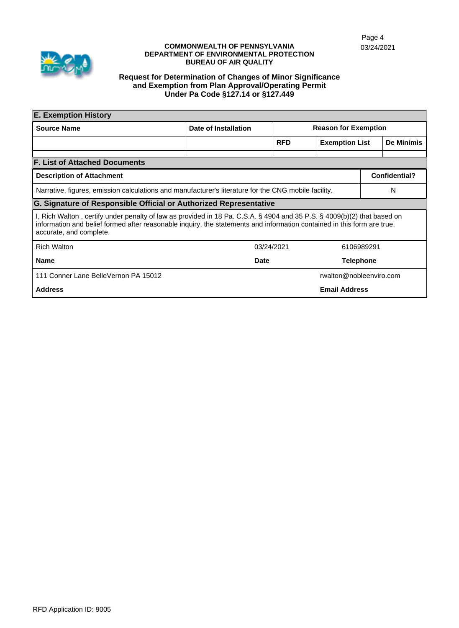

| <b>E. Exemption History</b>                                                                                                                                                                                                                                                   |                      |                                     |  |            |  |  |  |  |  |  |
|-------------------------------------------------------------------------------------------------------------------------------------------------------------------------------------------------------------------------------------------------------------------------------|----------------------|-------------------------------------|--|------------|--|--|--|--|--|--|
| <b>Source Name</b>                                                                                                                                                                                                                                                            | Date of Installation | <b>Reason for Exemption</b>         |  |            |  |  |  |  |  |  |
|                                                                                                                                                                                                                                                                               |                      | <b>RFD</b><br><b>Exemption List</b> |  | De Minimis |  |  |  |  |  |  |
| <b>F. List of Attached Documents</b>                                                                                                                                                                                                                                          |                      |                                     |  |            |  |  |  |  |  |  |
| <b>Description of Attachment</b>                                                                                                                                                                                                                                              | <b>Confidential?</b> |                                     |  |            |  |  |  |  |  |  |
| Narrative, figures, emission calculations and manufacturer's literature for the CNG mobile facility.                                                                                                                                                                          | N                    |                                     |  |            |  |  |  |  |  |  |
| G. Signature of Responsible Official or Authorized Representative                                                                                                                                                                                                             |                      |                                     |  |            |  |  |  |  |  |  |
| I, Rich Walton, certify under penalty of law as provided in 18 Pa. C.S.A. § 4904 and 35 P.S. § 4009(b)(2) that based on<br>information and belief formed after reasonable inquiry, the statements and information contained in this form are true,<br>accurate, and complete. |                      |                                     |  |            |  |  |  |  |  |  |
| <b>Rich Walton</b>                                                                                                                                                                                                                                                            |                      | 03/24/2021                          |  | 6106989291 |  |  |  |  |  |  |
| <b>Name</b>                                                                                                                                                                                                                                                                   | <b>Date</b>          | <b>Telephone</b>                    |  |            |  |  |  |  |  |  |
| 111 Conner Lane BelleVernon PA 15012                                                                                                                                                                                                                                          |                      | rwalton@nobleenviro.com             |  |            |  |  |  |  |  |  |
| <b>Address</b>                                                                                                                                                                                                                                                                |                      | <b>Email Address</b>                |  |            |  |  |  |  |  |  |